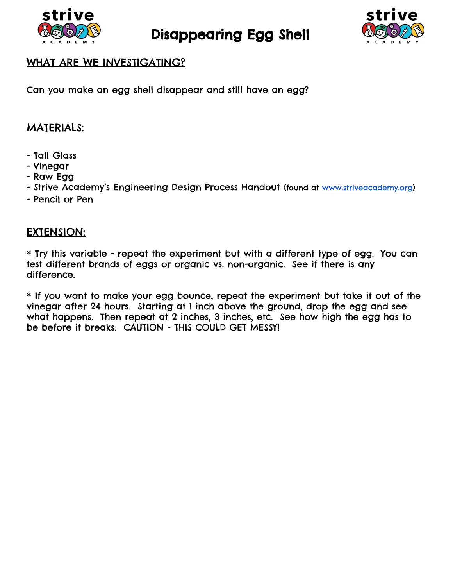

Disappearing Egg Shell



## WHAT ARE WE INVESTIGATING?

Can you make an egg shell disappear and still have an egg?

## MATERIALS:

- Tall Glass
- Vinegar
- Raw Egg
- Strive Academy's Engineering Design Process Handout (found at [www.striveacademy.org\)](http://www.striveacademy.org/)
- Pencil or Pen

## EXTENSION:

\* Try this variable - repeat the experiment but with a different type of egg. You can test different brands of eggs or organic vs. non-organic. See if there is any difference.

\* If you want to make your egg bounce, repeat the experiment but take it out of the vinegar after 24 hours. Starting at 1 inch above the ground, drop the egg and see what happens. Then repeat at 2 inches, 3 inches, etc. See how high the egg has to be before it breaks. CAUTION - THIS COULD GET MESSY!